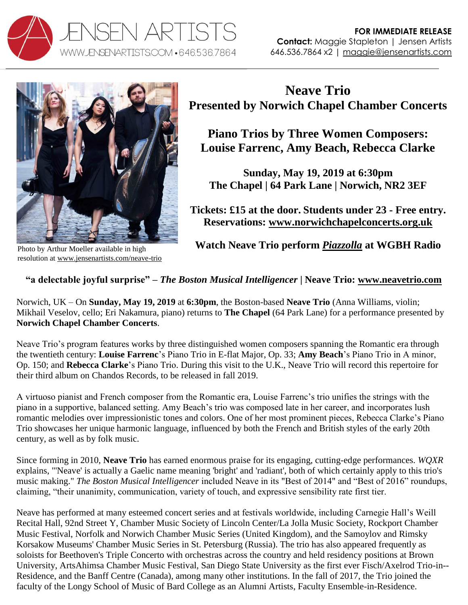



Photo by Arthur Moeller available in high resolution at [www.jensenartists.com/neave-trio](http://www.jensenartists.com/neave-trio)

## **Neave Trio Presented by Norwich Chapel Chamber Concerts**

**Piano Trios by Three Women Composers: Louise Farrenc, Amy Beach, Rebecca Clarke**

**Sunday, May 19, 2019 at 6:30pm The Chapel | 64 Park Lane | Norwich, NR2 3EF**

**Tickets: £15 at the door. Students under 23 - Free entry. Reservations: [www.norwichchapelconcerts.org.uk](https://www.norwichchapelconcerts.org.uk/reserve-a-seat)**

**Watch Neave Trio perform** *[Piazzolla](https://youtu.be/Xs3a6h4OV-E)* **at WGBH Radio**

## **"a delectable joyful surprise" –** *The Boston Musical Intelligencer* **| Neave Trio: [www.neavetrio.com](http://www.neavetrio.com/)**

Norwich, UK – On **Sunday, May 19, 2019** at **6:30pm**, the Boston-based **Neave Trio** (Anna Williams, violin; Mikhail Veselov, cello; Eri Nakamura, piano) returns to **The Chapel** (64 Park Lane) for a performance presented by **Norwich Chapel Chamber Concerts**.

Neave Trio's program features works by three distinguished women composers spanning the Romantic era through the twentieth century: **Louise Farrenc**'s Piano Trio in E-flat Major, Op. 33; **Amy Beach**'s Piano Trio in A minor, Op. 150; and **Rebecca Clarke**'s Piano Trio. During this visit to the U.K., Neave Trio will record this repertoire for their third album on Chandos Records, to be released in fall 2019.

A virtuoso pianist and French composer from the Romantic era, Louise Farrenc's trio unifies the strings with the piano in a supportive, balanced setting. Amy Beach's trio was composed late in her career, and incorporates lush romantic melodies over impressionistic tones and colors. One of her most prominent pieces, Rebecca Clarke's Piano Trio showcases her unique harmonic language, influenced by both the French and British styles of the early 20th century, as well as by folk music.

Since forming in 2010, **Neave Trio** has earned enormous praise for its engaging, cutting-edge performances. *WQXR*  explains, "'Neave' is actually a Gaelic name meaning 'bright' and 'radiant', both of which certainly apply to this trio's music making." *The Boston Musical Intelligencer* included Neave in its "Best of 2014" and "Best of 2016" roundups, claiming, "their unanimity, communication, variety of touch, and expressive sensibility rate first tier.

Neave has performed at many esteemed concert series and at festivals worldwide, including Carnegie Hall's Weill Recital Hall, 92nd Street Y, Chamber Music Society of Lincoln Center/La Jolla Music Society, Rockport Chamber Music Festival, Norfolk and Norwich Chamber Music Series (United Kingdom), and the Samoylov and Rimsky Korsakow Museums' Chamber Music Series in St. Petersburg (Russia). The trio has also appeared frequently as soloists for Beethoven's Triple Concerto with orchestras across the country and held residency positions at Brown University, ArtsAhimsa Chamber Music Festival, San Diego State University as the first ever Fisch/Axelrod Trio-in-- Residence, and the Banff Centre (Canada), among many other institutions. In the fall of 2017, the Trio joined the faculty of the Longy School of Music of Bard College as an Alumni Artists, Faculty Ensemble-in-Residence.